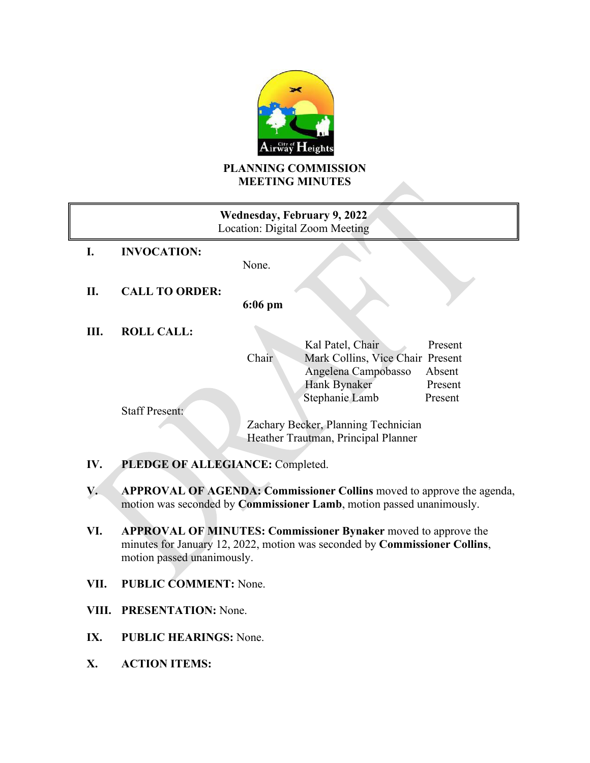

# **PLANNING COMMISSION MEETING MINUTES**

| Wednesday, February 9, 2022<br>Location: Digital Zoom Meeting |                       |                                                                                       |
|---------------------------------------------------------------|-----------------------|---------------------------------------------------------------------------------------|
| Ι.                                                            | <b>INVOCATION:</b>    | None.                                                                                 |
| П.                                                            | <b>CALL TO ORDER:</b> | $6:06$ pm                                                                             |
| Ш.                                                            | <b>ROLL CALL:</b>     | Kal Patel, Chair<br>Present<br>Chair<br>Mark Collins, Vice Chair Present              |
|                                                               |                       | Angelena Campobasso<br>Absent<br>Hank Bynaker<br>Present<br>Stephanie Lamb<br>Present |
|                                                               | <b>Staff Present:</b> | Zachary Becker, Planning Technician<br>Heather Trautman, Principal Planner            |
| PLEDGE OF ALLEGIANCE: Completed.<br>IV.                       |                       |                                                                                       |

- **V. APPROVAL OF AGENDA: Commissioner Collins** moved to approve the agenda, motion was seconded by **Commissioner Lamb**, motion passed unanimously.
- **VI. APPROVAL OF MINUTES: Commissioner Bynaker** moved to approve the minutes for January 12, 2022, motion was seconded by **Commissioner Collins**, motion passed unanimously.
- **VII. PUBLIC COMMENT:** None.
- **VIII. PRESENTATION:** None.
- **IX. PUBLIC HEARINGS:** None.
- **X. ACTION ITEMS:**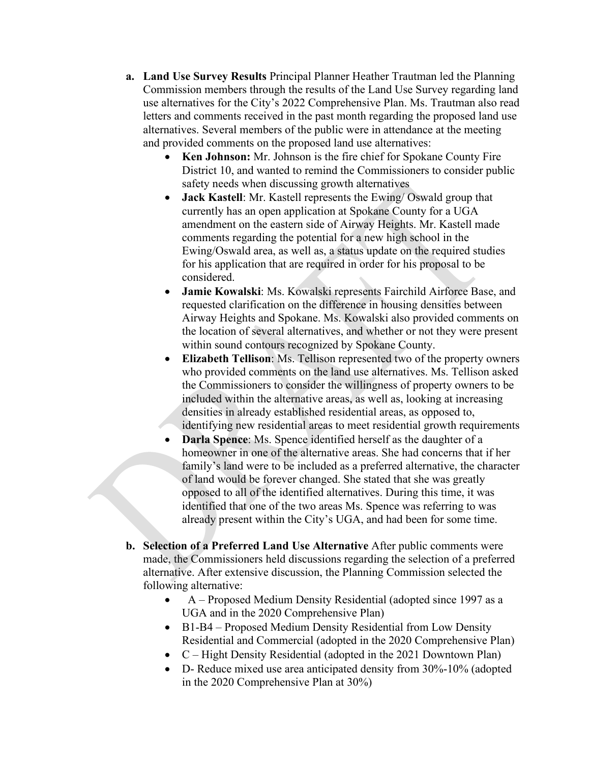- **a. Land Use Survey Results** Principal Planner Heather Trautman led the Planning Commission members through the results of the Land Use Survey regarding land use alternatives for the City's 2022 Comprehensive Plan. Ms. Trautman also read letters and comments received in the past month regarding the proposed land use alternatives. Several members of the public were in attendance at the meeting and provided comments on the proposed land use alternatives:
	- **Ken Johnson:** Mr. Johnson is the fire chief for Spokane County Fire District 10, and wanted to remind the Commissioners to consider public safety needs when discussing growth alternatives
	- **Jack Kastell**: Mr. Kastell represents the Ewing/ Oswald group that currently has an open application at Spokane County for a UGA amendment on the eastern side of Airway Heights. Mr. Kastell made comments regarding the potential for a new high school in the Ewing/Oswald area, as well as, a status update on the required studies for his application that are required in order for his proposal to be considered.
	- **Jamie Kowalski**: Ms. Kowalski represents Fairchild Airforce Base, and requested clarification on the difference in housing densities between Airway Heights and Spokane. Ms. Kowalski also provided comments on the location of several alternatives, and whether or not they were present within sound contours recognized by Spokane County.
	- **Elizabeth Tellison**: Ms. Tellison represented two of the property owners who provided comments on the land use alternatives. Ms. Tellison asked the Commissioners to consider the willingness of property owners to be included within the alternative areas, as well as, looking at increasing densities in already established residential areas, as opposed to, identifying new residential areas to meet residential growth requirements
	- **Darla Spence**: Ms. Spence identified herself as the daughter of a homeowner in one of the alternative areas. She had concerns that if her family's land were to be included as a preferred alternative, the character of land would be forever changed. She stated that she was greatly opposed to all of the identified alternatives. During this time, it was identified that one of the two areas Ms. Spence was referring to was already present within the City's UGA, and had been for some time.
- **b. Selection of a Preferred Land Use Alternative** After public comments were made, the Commissioners held discussions regarding the selection of a preferred alternative. After extensive discussion, the Planning Commission selected the following alternative:
	- A Proposed Medium Density Residential (adopted since 1997 as a UGA and in the 2020 Comprehensive Plan)
	- B1-B4 Proposed Medium Density Residential from Low Density Residential and Commercial (adopted in the 2020 Comprehensive Plan)
	- C Hight Density Residential (adopted in the 2021 Downtown Plan)
	- D- Reduce mixed use area anticipated density from 30%-10% (adopted in the 2020 Comprehensive Plan at 30%)